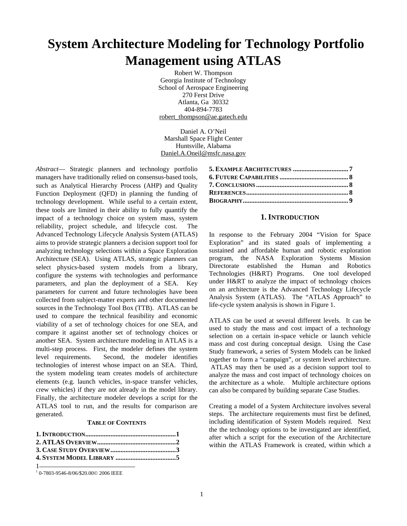# **System Architecture Modeling for Technology Portfolio Management using ATLAS**

Robert W. Thompson Georgia Institute of Technology School of Aerospace Engineering 270 Ferst Drive Atlanta, Ga 30332 404-894-7783 robert\_thompson@ae.gatech.edu

Daniel A. O'Neil Marshall Space Flight Center Huntsville, Alabama Daniel.A.Oneil@msfc.nasa.gov

*Abstract*— Strategic planners and technology portfolio managers have traditionally relied on consensus-based tools, such as Analytical Hierarchy Process (AHP) and Quality Function Deployment (QFD) in planning the funding of technology development. While useful to a certain extent, these tools are limited in their ability to fully quantify the impact of a technology choice on system mass, system reliability, project schedule, and lifecycle cost. The Advanced Technology Lifecycle Analysis System (ATLAS) aims to provide strategic planners a decision support tool for analyzing technology selections within a Space Exploration Architecture (SEA). Using ATLAS, strategic planners can select physics-based system models from a library, configure the systems with technologies and performance parameters, and plan the deployment of a SEA. Key parameters for current and future technologies have been collected from subject-matter experts and other documented sources in the Technology Tool Box (TTB). ATLAS can be used to compare the technical feasibility and economic viability of a set of technology choices for one SEA, and compare it against another set of technology choices or another SEA. System architecture modeling in ATLAS is a multi-step process. First, the modeler defines the system level requirements. Second, the modeler identifies technologies of interest whose impact on an SEA. Third, the system modeling team creates models of architecture elements (e.g. launch vehicles, in-space transfer vehicles, crew vehicles) if they are not already in the model library. Finally, the architecture modeler develops a script for the ATLAS tool to run, and the results for comparison are generated.

#### **TABLE OF CONTENTS**

<sup>1</sup>  1 0-7803-9546-8/06/\$20.00© 2006 IEEE

#### **1. INTRODUCTION**

In response to the February 2004 "Vision for Space Exploration" and its stated goals of implementing a sustained and affordable human and robotic exploration program, the NASA Exploration Systems Mission Directorate established the Human and Robotics Technologies (H&RT) Programs. One tool developed under H&RT to analyze the impact of technology choices on an architecture is the Advanced Technology Lifecycle Analysis System (ATLAS). The "ATLAS Approach" to life-cycle system analysis is shown in Figure 1.

ATLAS can be used at several different levels. It can be used to study the mass and cost impact of a technology selection on a certain in-space vehicle or launch vehicle mass and cost during conceptual design. Using the Case Study framework, a series of System Models can be linked together to form a "campaign", or system level architecture. ATLAS may then be used as a decision support tool to analyze the mass and cost impact of technology choices on the architecture as a whole. Multiple architecture options can also be compared by building separate Case Studies.

Creating a model of a System Architecture involves several steps. The architecture requirements must first be defined, including identification of System Models required. Next the the technology options to be investigated are identified, after which a script for the execution of the Architecture within the ATLAS Framework is created, within which a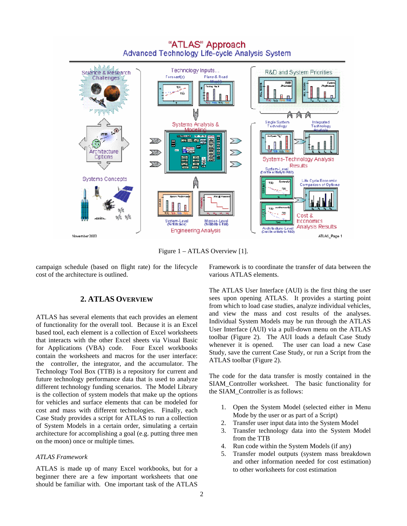

"ATLAS" Approach Advanced Technology Life-cycle Analysis System

Figure 1 – ATLAS Overview [1].

campaign schedule (based on flight rate) for the lifecycle cost of the architecture is outlined.

# **2. ATLAS OVERVIEW**

ATLAS has several elements that each provides an element of functionality for the overall tool. Because it is an Excel based tool, each element is a collection of Excel worksheets that interacts with the other Excel sheets via Visual Basic for Applications (VBA) code. Four Excel workbooks contain the worksheets and macros for the user interface: the controller, the integrator, and the accumulator. The Technology Tool Box (TTB) is a repository for current and future technology performance data that is used to analyze different technology funding scenarios. The Model Library is the collection of system models that make up the options for vehicles and surface elements that can be modeled for cost and mass with different technologies. Finally, each Case Study provides a script for ATLAS to run a collection of System Models in a certain order, simulating a certain architecture for accomplishing a goal (e.g. putting three men on the moon) once or multiple times.

### *ATLAS Framework*

ATLAS is made up of many Excel workbooks, but for a beginner there are a few important worksheets that one should be familiar with. One important task of the ATLAS

Framework is to coordinate the transfer of data between the various ATLAS elements.

The ATLAS User Interface (AUI) is the first thing the user sees upon opening ATLAS. It provides a starting point from which to load case studies, analyze individual vehicles, and view the mass and cost results of the analyses. Individual System Models may be run through the ATLAS User Interface (AUI) via a pull-down menu on the ATLAS toolbar (Figure 2). The AUI loads a default Case Study whenever it is opened. The user can load a new Case Study, save the current Case Study, or run a Script from the ATLAS toolbar (Figure 2).

The code for the data transfer is mostly contained in the SIAM\_Controller worksheet. The basic functionality for the SIAM\_Controller is as follows:

- 1. Open the System Model (selected either in Menu Mode by the user or as part of a Script)
- 2. Transfer user input data into the System Model
- 3. Transfer technology data into the System Model from the TTB
- 4. Run code within the System Models (if any)
- 5. Transfer model outputs (system mass breakdown and other information needed for cost estimation) to other worksheets for cost estimation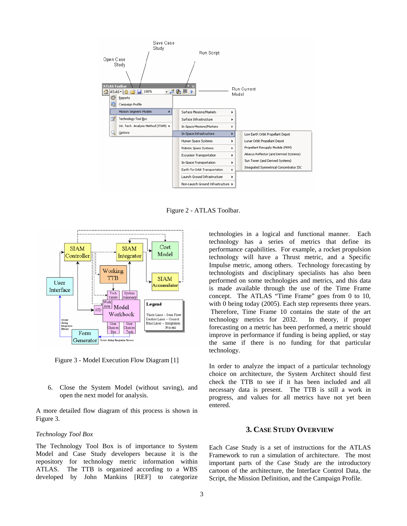

Figure 2 - ATLAS Toolbar.



Figure 3 - Model Execution Flow Diagram [1]

6. Close the System Model (without saving), and open the next model for analysis.

A more detailed flow diagram of this process is shown in Figure 3.

#### *Technology Tool Box*

The Technology Tool Box is of importance to System Model and Case Study developers because it is the repository for technology metric information within ATLAS. The TTB is organized according to a WBS developed by John Mankins [REF] to categorize

technologies in a logical and functional manner. Each technology has a series of metrics that define its performance capabilities. For example, a rocket propulsion technology will have a Thrust metric, and a Specific Impulse metric, among others. Technology forecasting by technologists and disciplinary specialists has also been performed on some technologies and metrics, and this data is made available through the use of the Time Frame concept. The ATLAS "Time Frame" goes from 0 to 10, with 0 being today (2005). Each step represents three years. Therefore, Time Frame 10 contains the state of the art technology metrics for 2032. In theory, if proper forecasting on a metric has been performed, a metric should improve in performance if funding is being applied, or stay the same if there is no funding for that particular technology.

In order to analyze the impact of a particular technology choice on architecture, the System Architect should first check the TTB to see if it has been included and all necessary data is present. The TTB is still a work in progress, and values for all metrics have not yet been entered.

## **3. CASE STUDY OVERVIEW**

Each Case Study is a set of instructions for the ATLAS Framework to run a simulation of architecture. The most important parts of the Case Study are the introductory cartoon of the architecture, the Interface Control Data, the Script, the Mission Definition, and the Campaign Profile.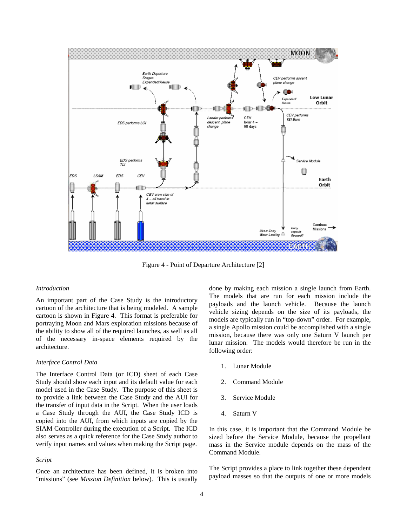

Figure 4 - Point of Departure Architecture [2]

#### *Introduction*

An important part of the Case Study is the introductory cartoon of the architecture that is being modeled. A sample cartoon is shown in Figure 4. This format is preferable for portraying Moon and Mars exploration missions because of the ability to show all of the required launches, as well as all of the necessary in-space elements required by the architecture.

#### *Interface Control Data*

The Interface Control Data (or ICD) sheet of each Case Study should show each input and its default value for each model used in the Case Study. The purpose of this sheet is to provide a link between the Case Study and the AUI for the transfer of input data in the Script. When the user loads a Case Study through the AUI, the Case Study ICD is copied into the AUI, from which inputs are copied by the SIAM Controller during the execution of a Script. The ICD also serves as a quick reference for the Case Study author to verify input names and values when making the Script page.

#### *Script*

Once an architecture has been defined, it is broken into "missions" (see *Mission Definition* below). This is usually done by making each mission a single launch from Earth. The models that are run for each mission include the payloads and the launch vehicle. Because the launch vehicle sizing depends on the size of its payloads, the models are typically run in "top-down" order. For example, a single Apollo mission could be accomplished with a single mission, because there was only one Saturn V launch per lunar mission. The models would therefore be run in the following order:

- 1. Lunar Module
- 2. Command Module
- 3. Service Module
- 4. Saturn V

In this case, it is important that the Command Module be sized before the Service Module, because the propellant mass in the Service module depends on the mass of the Command Module.

The Script provides a place to link together these dependent payload masses so that the outputs of one or more models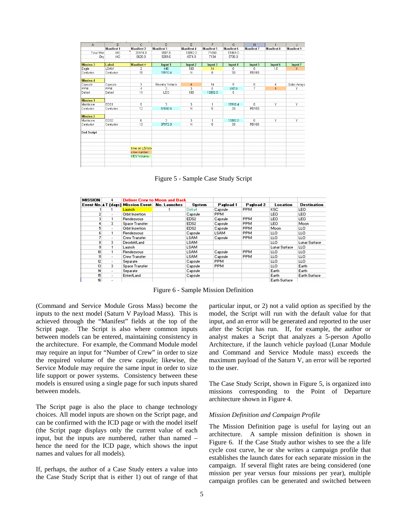| A                 | B           | $\mathbb{C}$      | D                 | E                 | F          | G          | H                 |                | J                 |
|-------------------|-------------|-------------------|-------------------|-------------------|------------|------------|-------------------|----------------|-------------------|
|                   | Manifest 1  | <b>Manifest 2</b> | <b>Manifest 3</b> | <b>Manifest 4</b> | Manifest 5 | Manifest 6 | <b>Manifest 7</b> | Manifest 8     | <b>Manifest 9</b> |
| <b>Total Wet</b>  | 440         | 20474.0           | 5587.0            | 13892.0           | 71569      | 51864.0    |                   |                |                   |
| Dry               | 440         | 6828.0            | 5089.0            | 4574.0            | 7134       | 5706.0     |                   |                |                   |
| <b>Mission 3</b>  | Label       | <b>Manifest#</b>  | Input 1           | Input 2           | Input 3    | Input 4    | Input 5           | Input 6        | Input 7           |
| Eagle             | <b>LSAM</b> | $\overline{2}$    | 440               | 100               | 14         | 0          | Ū.                | 1.5            | $\overline{4}$    |
| Centurion         | Centurion   | 10                | 19910.4           | N                 | 8          | 30         | RD180             |                |                   |
| <b>Mission 4</b>  |             |                   |                   |                   |            |            |                   |                |                   |
| Capsule           | Capsule     | 3                 | Reentry Vehicle   | $\overline{4}$    | 14         | 9          | 0                 | 4              | Solar Arrays      |
| <b>PPM</b>        | <b>PPM</b>  | 4                 | 3                 | 3                 | 5          | 5587.0     | 7                 | $\overline{4}$ | Ÿ                 |
| Delta4            | Delta4      | 11                | LEO               | 100               | 13892.0    | 5          |                   |                |                   |
| <b>Mission 1</b>  |             |                   |                   |                   |            |            |                   |                |                   |
| Manticore         | EDS1        | 5                 | 3                 | 3                 | 1          | 19910.4    | 0.                | Υ              | Υ                 |
| Centurion         | Centurion   | 12                | 51658.6           | N                 | 8          | 30         | <b>RD180</b>      |                |                   |
| <b>Mission 2</b>  |             |                   |                   |                   |            |            |                   |                |                   |
| Manticore         | EDS2        | 6                 | 3                 | 3                 | 1          | 13892.0    | $\overline{a}$    | ٧              | γ                 |
| Centurion         | Centurion   | 13                | 37972.0           | Ñ                 | 8          | 30         | <b>RD180</b>      |                |                   |
| <b>End Script</b> |             |                   |                   |                   |            |            |                   |                |                   |
|                   |             |                   |                   |                   |            |            |                   |                |                   |
|                   |             |                   |                   |                   |            |            |                   |                |                   |
|                   |             | time on LS/loite  |                   |                   |            |            |                   |                |                   |
|                   |             | crew number       |                   |                   |            |            |                   |                |                   |
|                   |             | CEV Volume        |                   |                   |            |            |                   |                |                   |
|                   |             |                   |                   |                   |            |            |                   |                |                   |
|                   |             |                   |                   |                   |            |            |                   |                |                   |

Figure 5 - Sample Case Study Script

| <b>MISSION</b> | 4                        |                                                 | <b>Deliver Crew to Moon and Back</b> |                  |             |            |                 |                    |
|----------------|--------------------------|-------------------------------------------------|--------------------------------------|------------------|-------------|------------|-----------------|--------------------|
|                |                          | Event No. A T (days) Mission Event No. Launches |                                      | Sustem           | Payload 1   | Payload 2  | <b>Location</b> | <b>Destination</b> |
|                |                          | Launch                                          |                                      | Delta4           | Capsule     | <b>PPM</b> | KSC             | LEO.               |
| 2              |                          | Orbit Insertion                                 |                                      | Capsule          | <b>PPM</b>  |            | LEO.            | LEO.               |
| 3              |                          | <b>Rendezvous</b>                               |                                      | EDS2             | Capsule     | <b>PPM</b> | LEO.            | LEO.               |
| 4              | 3                        | Space Transfer                                  |                                      | EDS2             | Capsule     | <b>PPM</b> | LEO.            | Moon               |
| 5              | $\sim$                   | Orbit Insertion                                 |                                      | EDS <sub>2</sub> | Capsule     | <b>PPM</b> | Moon            | LLO.               |
| 6              |                          | Rendezvous                                      |                                      | Capsule          | <b>LSAM</b> | <b>PPM</b> | LLO.            | LLO.               |
|                | $\overline{\phantom{a}}$ | Crew Transfer                                   |                                      | LSAM             | Capsule     | <b>PPM</b> | LLO.            | LLO.               |
| 8              | 3                        | <b>Deorbit/Land</b>                             |                                      | <b>LSAM</b>      |             |            | LLO.            | Lunar Surface      |
| 91             |                          | Launch                                          |                                      | LSAM             |             |            | Lunar Surface   | LLO.               |
| 10             |                          | Rendezvous                                      |                                      | LSAM             | Capsule     | <b>PPM</b> | LLO.            | LLO.               |
| 11             | $\overline{\phantom{a}}$ | Crew Transfer                                   |                                      | <b>LSAM</b>      | Capsule     | <b>PPM</b> | LLO             | LLO.               |
| 12             | $\overline{\phantom{a}}$ | Separate                                        |                                      | Capsule          | <b>PPM</b>  |            | LLO             | LLO.               |
| 13             | 3                        | Space Transfer                                  |                                      | Capsule          | <b>PPM</b>  |            | LLO.            | Earth              |
| 14             | $\overline{\phantom{a}}$ | Separate                                        |                                      | Capsule          |             |            | Earth           | Earth              |
| 15             | $\overline{\phantom{a}}$ | <b>Enter/Land</b>                               |                                      | Capsule          |             |            | Earth           | Earth Surface      |
| 16             | $\overline{\phantom{a}}$ |                                                 |                                      |                  |             |            | Earth Surface   |                    |

Figure 6 - Sample Mission Definition

(Command and Service Module Gross Mass) become the inputs to the next model (Saturn V Payload Mass). This is achieved through the "Manifest" fields at the top of the Script page. The Script is also where common inputs between models can be entered, maintaining consistency in the architecture. For example, the Command Module model may require an input for "Number of Crew" in order to size the required volume of the crew capsule; likewise, the Service Module may require the same input in order to size life support or power systems. Consistency between these models is ensured using a single page for such inputs shared between models.

The Script page is also the place to change technology choices. All model inputs are shown on the Script page, and can be confirmed with the ICD page or with the model itself (the Script page displays only the current value of each input, but the inputs are numbered, rather than named – hence the need for the ICD page, which shows the input names and values for all models).

If, perhaps, the author of a Case Study enters a value into the Case Study Script that is either 1) out of range of that particular input, or 2) not a valid option as specified by the model, the Script will run with the default value for that input, and an error will be generated and reported to the user after the Script has run. If, for example, the author or analyst makes a Script that analyzes a 5-person Apollo Architecture, if the launch vehicle payload (Lunar Module and Command and Service Module mass) exceeds the maximum payload of the Saturn V, an error will be reported to the user.

The Case Study Script, shown in Figure 5, is organized into missions corresponding to the Point of Departure architecture shown in Figure 4.

### *Mission Definition and Campaign Profile*

The Mission Definition page is useful for laying out an architecture. A sample mission definition is shown in Figure 6. If the Case Study author wishes to see the a life cycle cost curve, he or she writes a campaign profile that establishes the launch dates for each separate mission in the campaign. If several flight rates are being considered (one mission per year versus four missions per year), multiple campaign profiles can be generated and switched between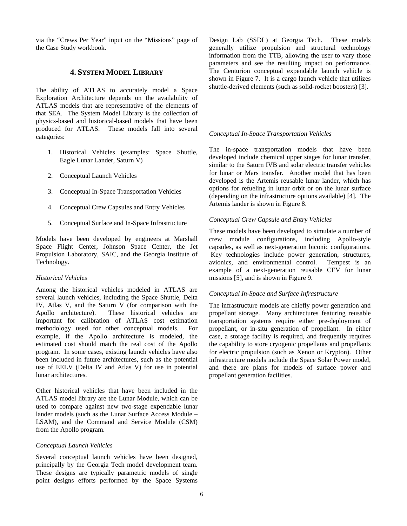via the "Crews Per Year" input on the "Missions" page of the Case Study workbook.

## **4. SYSTEM MODEL LIBRARY**

The ability of ATLAS to accurately model a Space Exploration Architecture depends on the availability of ATLAS models that are representative of the elements of that SEA. The System Model Library is the collection of physics-based and historical-based models that have been produced for ATLAS. These models fall into several categories:

- 1. Historical Vehicles (examples: Space Shuttle, Eagle Lunar Lander, Saturn V)
- 2. Conceptual Launch Vehicles
- 3. Conceptual In-Space Transportation Vehicles
- 4. Conceptual Crew Capsules and Entry Vehicles
- 5. Conceptual Surface and In-Space Infrastructure

Models have been developed by engineers at Marshall Space Flight Center, Johnson Space Center, the Jet Propulsion Laboratory, SAIC, and the Georgia Institute of Technology.

## *Historical Vehicles*

Among the historical vehicles modeled in ATLAS are several launch vehicles, including the Space Shuttle, Delta IV, Atlas V, and the Saturn V (for comparison with the Apollo architecture). These historical vehicles are important for calibration of ATLAS cost estimation methodology used for other conceptual models. For example, if the Apollo architecture is modeled, the estimated cost should match the real cost of the Apollo program. In some cases, existing launch vehicles have also been included in future architectures, such as the potential use of EELV (Delta IV and Atlas V) for use in potential lunar architectures.

Other historical vehicles that have been included in the ATLAS model library are the Lunar Module, which can be used to compare against new two-stage expendable lunar lander models (such as the Lunar Surface Access Module – LSAM), and the Command and Service Module (CSM) from the Apollo program.

## *Conceptual Launch Vehicles*

Several conceptual launch vehicles have been designed, principally by the Georgia Tech model development team. These designs are typically parametric models of single point designs efforts performed by the Space Systems Design Lab (SSDL) at Georgia Tech. These models generally utilize propulsion and structural technology information from the TTB, allowing the user to vary those parameters and see the resulting impact on performance. The Centurion conceptual expendable launch vehicle is shown in Figure 7. It is a cargo launch vehicle that utilizes shuttle-derived elements (such as solid-rocket boosters) [3].

#### *Conceptual In-Space Transportation Vehicles*

The in-space transportation models that have been developed include chemical upper stages for lunar transfer, similar to the Saturn IVB and solar electric transfer vehicles for lunar or Mars transfer. Another model that has been developed is the Artemis reusable lunar lander, which has options for refueling in lunar orbit or on the lunar surface (depending on the infrastructure options available) [4]. The Artemis lander is shown in Figure 8.

## *Conceptual Crew Capsule and Entry Vehicles*

These models have been developed to simulate a number of crew module configurations, including Apollo-style capsules, as well as next-generation biconic configurations. Key technologies include power generation, structures, avionics, and environmental control. Tempest is an example of a next-generation reusable CEV for lunar missions [5], and is shown in Figure 9.

#### *Conceptual In-Space and Surface Infrastructure*

The infrastructure models are chiefly power generation and propellant storage. Many architectures featuring reusable transportation systems require either pre-deployment of propellant, or in-situ generation of propellant. In either case, a storage facility is required, and frequently requires the capability to store cryogenic propellants and propellants for electric propulsion (such as Xenon or Krypton). Other infrastructure models include the Space Solar Power model, and there are plans for models of surface power and propellant generation facilities.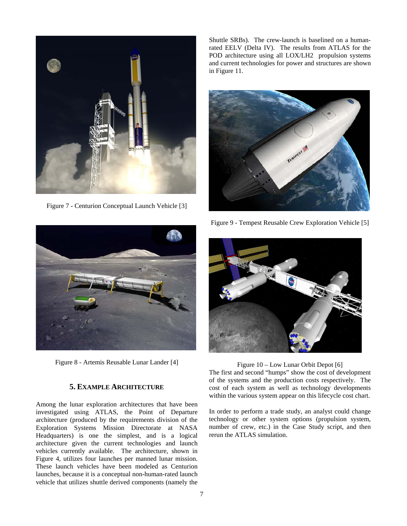

Figure 7 - Centurion Conceptual Launch Vehicle [3]

Shuttle SRBs). The crew-launch is baselined on a humanrated EELV (Delta IV). The results from ATLAS for the POD architecture using all LOX/LH2 propulsion systems and current technologies for power and structures are shown in Figure 11.



Figure 9 - Tempest Reusable Crew Exploration Vehicle [5]



Figure 8 - Artemis Reusable Lunar Lander [4]

# **5. EXAMPLE ARCHITECTURE**

Among the lunar exploration architectures that have been investigated using ATLAS, the Point of Departure architecture (produced by the requirements division of the Exploration Systems Mission Directorate at NASA Headquarters) is one the simplest, and is a logical architecture given the current technologies and launch vehicles currently available. The architecture, shown in Figure 4, utilizes four launches per manned lunar mission. These launch vehicles have been modeled as Centurion launches, because it is a conceptual non-human-rated launch vehicle that utilizes shuttle derived components (namely the



## Figure 10 – Low Lunar Orbit Depot [6]

The first and second "humps" show the cost of development of the systems and the production costs respectively. The cost of each system as well as technology developments within the various system appear on this lifecycle cost chart.

In order to perform a trade study, an analyst could change technology or other system options (propulsion system, number of crew, etc.) in the Case Study script, and then rerun the ATLAS simulation.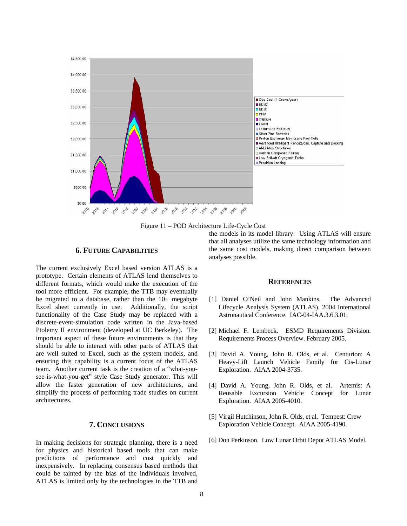

Figure 11 – POD Architecture Life-Cycle Cost

## **6. FUTURE CAPABILITIES**

The current exclusively Excel based version ATLAS is a prototype. Certain elements of ATLAS lend themselves to different formats, which would make the execution of the tool more efficient. For example, the TTB may eventually be migrated to a database, rather than the 10+ megabyte Excel sheet currently in use. Additionally, the script functionality of the Case Study may be replaced with a discrete-event-simulation code written in the Java-based Ptolemy II environment (developed at UC Berkeley). The important aspect of these future environments is that they should be able to interact with other parts of ATLAS that are well suited to Excel, such as the system models, and ensuring this capability is a current focus of the ATLAS team. Another current task is the creation of a "what-yousee-is-what-you-get" style Case Study generator. This will allow the faster generation of new architectures, and simplify the process of performing trade studies on current architectures.

## **7. CONCLUSIONS**

In making decisions for strategic planning, there is a need for physics and historical based tools that can make predictions of performance and cost quickly and inexpensively. In replacing consensus based methods that could be tainted by the bias of the individuals involved, ATLAS is limited only by the technologies in the TTB and

the models in its model library. Using ATLAS will ensure that all analyses utilize the same technology information and the same cost models, making direct comparison between analyses possible.

#### **REFERENCES**

- [1] Daniel O'Neil and John Mankins. The Advanced Lifecycle Analysis System (ATLAS). 2004 International Astronautical Conference. IAC-04-IAA.3.6.3.01.
- [2] Michael F. Lembeck. ESMD Requirements Division. Requirements Process Overview. February 2005.
- [3] David A. Young, John R. Olds, et al. Centurion: A Heavy-Lift Launch Vehicle Family for Cis-Lunar Exploration. AIAA 2004-3735.
- [4] David A. Young, John R. Olds, et al. Artemis: A Reusable Excursion Vehicle Concept for Lunar Exploration. AIAA 2005-4010.
- [5] Virgil Hutchinson, John R. Olds, et al. Tempest: Crew Exploration Vehicle Concept. AIAA 2005-4190.
- [6] Don Perkinson. Low Lunar Orbit Depot ATLAS Model.